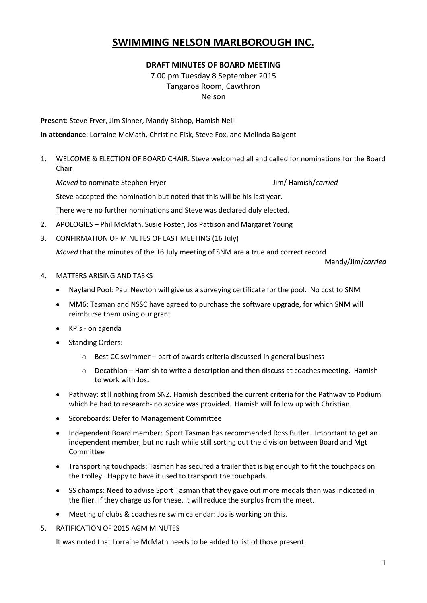## **SWIMMING NELSON MARLBOROUGH INC.**

## **DRAFT MINUTES OF BOARD MEETING**

7.00 pm Tuesday 8 September 2015 Tangaroa Room, Cawthron Nelson

**Present**: Steve Fryer, Jim Sinner, Mandy Bishop, Hamish Neill

**In attendance**: Lorraine McMath, Christine Fisk, Steve Fox, and Melinda Baigent

1. WELCOME & ELECTION OF BOARD CHAIR. Steve welcomed all and called for nominations for the Board Chair

*Moved* to nominate Stephen Fryer **Jumes** Jim/ Hamish/*carried* 

Steve accepted the nomination but noted that this will be his last year.

There were no further nominations and Steve was declared duly elected.

- 2. APOLOGIES Phil McMath, Susie Foster, Jos Pattison and Margaret Young
- 3. CONFIRMATION OF MINUTES OF LAST MEETING (16 July)

*Moved* that the minutes of the 16 July meeting of SNM are a true and correct record

Mandy/Jim/*carried*

- 4. MATTERS ARISING AND TASKS
	- Nayland Pool: Paul Newton will give us a surveying certificate for the pool. No cost to SNM
	- MM6: Tasman and NSSC have agreed to purchase the software upgrade, for which SNM will reimburse them using our grant
	- KPIs on agenda
	- Standing Orders:
		- o Best CC swimmer part of awards criteria discussed in general business
		- o Decathlon Hamish to write a description and then discuss at coaches meeting. Hamish to work with Jos.
	- Pathway: still nothing from SNZ. Hamish described the current criteria for the Pathway to Podium which he had to research- no advice was provided. Hamish will follow up with Christian.
	- Scoreboards: Defer to Management Committee
	- Independent Board member: Sport Tasman has recommended Ross Butler. Important to get an independent member, but no rush while still sorting out the division between Board and Mgt Committee
	- Transporting touchpads: Tasman has secured a trailer that is big enough to fit the touchpads on the trolley. Happy to have it used to transport the touchpads.
	- SS champs: Need to advise Sport Tasman that they gave out more medals than was indicated in the flier. If they charge us for these, it will reduce the surplus from the meet.
	- Meeting of clubs & coaches re swim calendar: Jos is working on this.
- 5. RATIFICATION OF 2015 AGM MINUTES

It was noted that Lorraine McMath needs to be added to list of those present.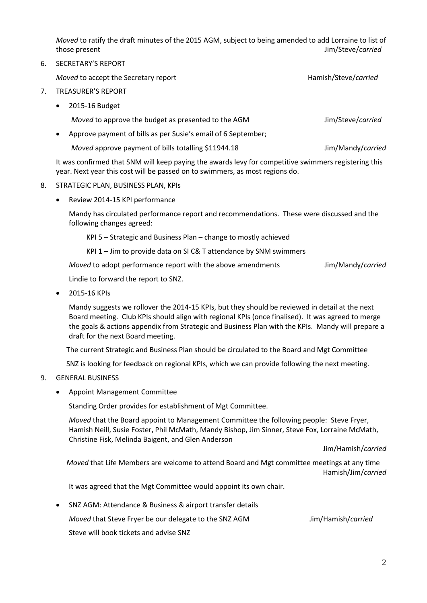*Moved* to ratify the draft minutes of the 2015 AGM, subject to being amended to add Lorraine to list of those present Jim/Steve/*carried*

6. SECRETARY'S REPORT

*Moved* to accept the Secretary report **Hamish/Steve/carried** Hamish/Steve/*carried* 

- 7. TREASURER'S REPORT
	- 2015-16 Budget

*Moved* to approve the budget as presented to the AGM **Jim/Steve/carried** 

Approve payment of bills as per Susie's email of 6 September;

*Moved* approve payment of bills totalling \$11944.18 Jim/Mandy/*carried* 

It was confirmed that SNM will keep paying the awards levy for competitive swimmers registering this year. Next year this cost will be passed on to swimmers, as most regions do.

- 8. STRATEGIC PLAN, BUSINESS PLAN, KPIs
	- Review 2014-15 KPI performance

Mandy has circulated performance report and recommendations. These were discussed and the following changes agreed:

- KPI 5 Strategic and Business Plan change to mostly achieved
- KPI 1 Jim to provide data on SI C& T attendance by SNM swimmers

*Moved* to adopt performance report with the above amendments Jim/Mandy/*carried* 

Lindie to forward the report to SNZ.

2015-16 KPIs

Mandy suggests we rollover the 2014-15 KPIs, but they should be reviewed in detail at the next Board meeting. Club KPIs should align with regional KPIs (once finalised). It was agreed to merge the goals & actions appendix from Strategic and Business Plan with the KPIs. Mandy will prepare a draft for the next Board meeting.

The current Strategic and Business Plan should be circulated to the Board and Mgt Committee

SNZ is looking for feedback on regional KPIs, which we can provide following the next meeting.

## 9. GENERAL BUSINESS

Appoint Management Committee

Standing Order provides for establishment of Mgt Committee.

*Moved* that the Board appoint to Management Committee the following people: Steve Fryer, Hamish Neill, Susie Foster, Phil McMath, Mandy Bishop, Jim Sinner, Steve Fox, Lorraine McMath, Christine Fisk, Melinda Baigent, and Glen Anderson

Jim/Hamish/*carried*

*Moved* that Life Members are welcome to attend Board and Mgt committee meetings at any time Hamish/Jim/*carried*

It was agreed that the Mgt Committee would appoint its own chair.

 SNZ AGM: Attendance & Business & airport transfer details *Moved* that Steve Fryer be our delegate to the SNZ AGM Jim/Hamish/*carried* Steve will book tickets and advise SNZ